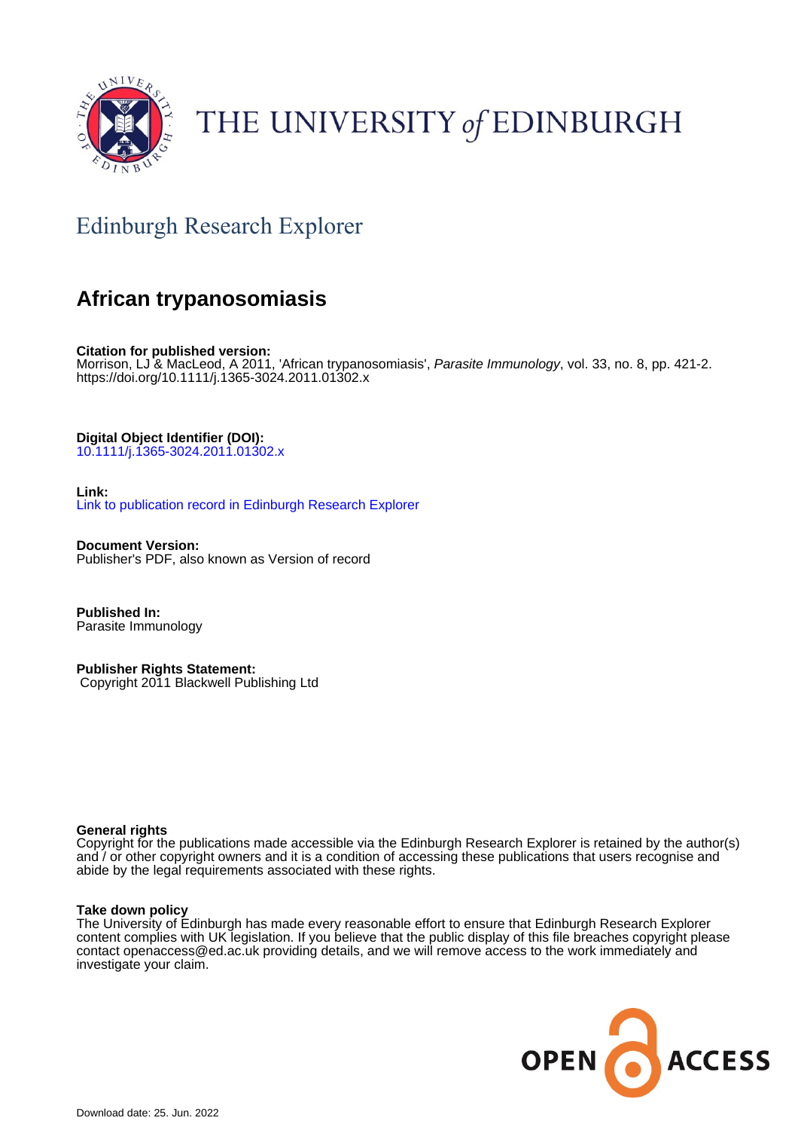

# THE UNIVERSITY of EDINBURGH

## Edinburgh Research Explorer

### **African trypanosomiasis**

**Citation for published version:** Morrison, LJ & MacLeod, A 2011, 'African trypanosomiasis', Parasite Immunology, vol. 33, no. 8, pp. 421-2. <https://doi.org/10.1111/j.1365-3024.2011.01302.x>

**Digital Object Identifier (DOI):**

[10.1111/j.1365-3024.2011.01302.x](https://doi.org/10.1111/j.1365-3024.2011.01302.x)

**Link:**

[Link to publication record in Edinburgh Research Explorer](https://www.research.ed.ac.uk/en/publications/a1b454c6-6795-4539-bc31-212e77b506c5)

**Document Version:** Publisher's PDF, also known as Version of record

**Published In:** Parasite Immunology

**Publisher Rights Statement:** Copyright 2011 Blackwell Publishing Ltd

#### **General rights**

Copyright for the publications made accessible via the Edinburgh Research Explorer is retained by the author(s) and / or other copyright owners and it is a condition of accessing these publications that users recognise and abide by the legal requirements associated with these rights.

#### **Take down policy**

The University of Edinburgh has made every reasonable effort to ensure that Edinburgh Research Explorer content complies with UK legislation. If you believe that the public display of this file breaches copyright please contact openaccess@ed.ac.uk providing details, and we will remove access to the work immediately and investigate your claim.

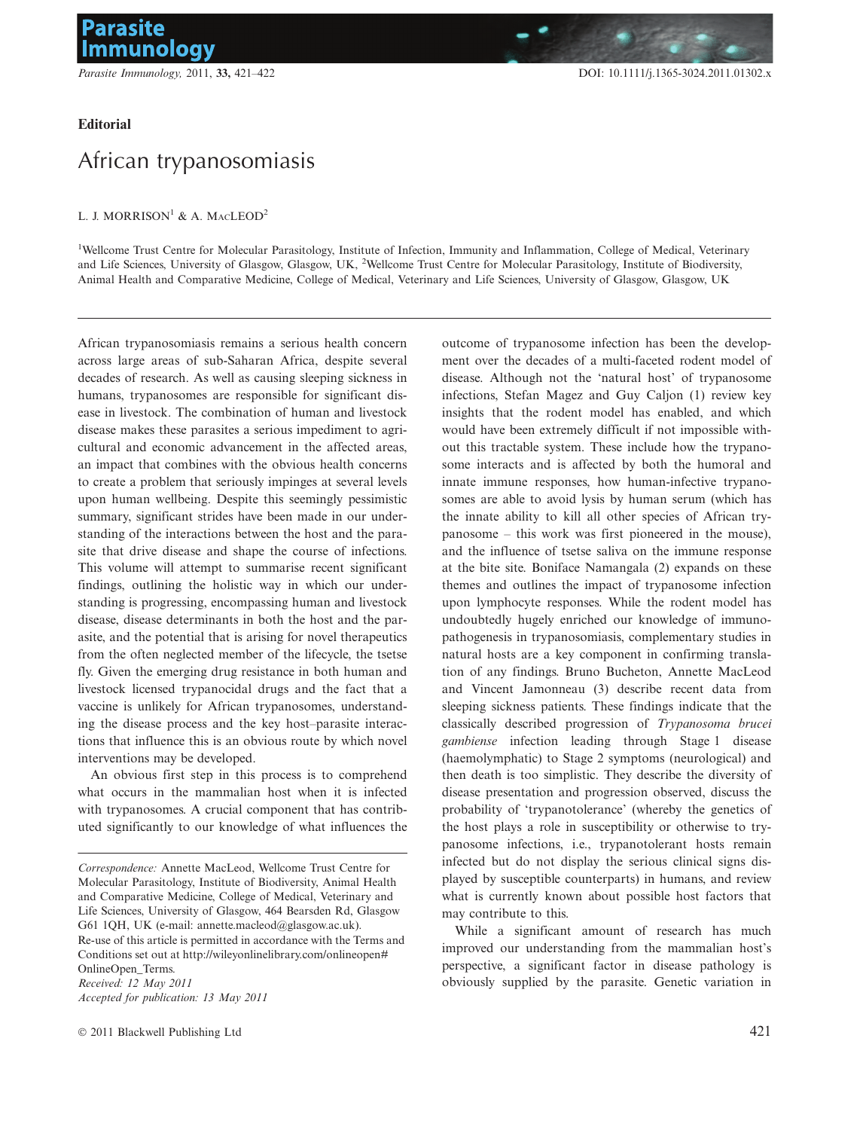#### Editorial

### African trypanosomiasis

#### L. J. MORRISON<sup>1</sup> & A. MACLEOD<sup>2</sup>

<sup>1</sup>Wellcome Trust Centre for Molecular Parasitology, Institute of Infection, Immunity and Inflammation, College of Medical, Veterinary and Life Sciences, University of Glasgow, Glasgow, UK, <sup>2</sup>Wellcome Trust Centre for Molecular Parasitology, Institute of Biodiversity, Animal Health and Comparative Medicine, College of Medical, Veterinary and Life Sciences, University of Glasgow, Glasgow, UK

African trypanosomiasis remains a serious health concern across large areas of sub-Saharan Africa, despite several decades of research. As well as causing sleeping sickness in humans, trypanosomes are responsible for significant disease in livestock. The combination of human and livestock disease makes these parasites a serious impediment to agricultural and economic advancement in the affected areas, an impact that combines with the obvious health concerns to create a problem that seriously impinges at several levels upon human wellbeing. Despite this seemingly pessimistic summary, significant strides have been made in our understanding of the interactions between the host and the parasite that drive disease and shape the course of infections. This volume will attempt to summarise recent significant findings, outlining the holistic way in which our understanding is progressing, encompassing human and livestock disease, disease determinants in both the host and the parasite, and the potential that is arising for novel therapeutics from the often neglected member of the lifecycle, the tsetse fly. Given the emerging drug resistance in both human and livestock licensed trypanocidal drugs and the fact that a vaccine is unlikely for African trypanosomes, understanding the disease process and the key host–parasite interactions that influence this is an obvious route by which novel interventions may be developed.

An obvious first step in this process is to comprehend what occurs in the mammalian host when it is infected with trypanosomes. A crucial component that has contributed significantly to our knowledge of what influences the outcome of trypanosome infection has been the development over the decades of a multi-faceted rodent model of disease. Although not the 'natural host' of trypanosome infections, Stefan Magez and Guy Caljon (1) review key insights that the rodent model has enabled, and which would have been extremely difficult if not impossible without this tractable system. These include how the trypanosome interacts and is affected by both the humoral and innate immune responses, how human-infective trypanosomes are able to avoid lysis by human serum (which has the innate ability to kill all other species of African trypanosome – this work was first pioneered in the mouse), and the influence of tsetse saliva on the immune response at the bite site. Boniface Namangala (2) expands on these themes and outlines the impact of trypanosome infection upon lymphocyte responses. While the rodent model has undoubtedly hugely enriched our knowledge of immunopathogenesis in trypanosomiasis, complementary studies in natural hosts are a key component in confirming translation of any findings. Bruno Bucheton, Annette MacLeod and Vincent Jamonneau (3) describe recent data from sleeping sickness patients. These findings indicate that the classically described progression of Trypanosoma brucei gambiense infection leading through Stage 1 disease (haemolymphatic) to Stage 2 symptoms (neurological) and then death is too simplistic. They describe the diversity of disease presentation and progression observed, discuss the probability of 'trypanotolerance' (whereby the genetics of the host plays a role in susceptibility or otherwise to trypanosome infections, i.e., trypanotolerant hosts remain infected but do not display the serious clinical signs displayed by susceptible counterparts) in humans, and review what is currently known about possible host factors that may contribute to this.

While a significant amount of research has much improved our understanding from the mammalian host's perspective, a significant factor in disease pathology is obviously supplied by the parasite. Genetic variation in

Correspondence: Annette MacLeod, Wellcome Trust Centre for Molecular Parasitology, Institute of Biodiversity, Animal Health and Comparative Medicine, College of Medical, Veterinary and Life Sciences, University of Glasgow, 464 Bearsden Rd, Glasgow G61 1QH, UK (e-mail: annette.macleod@glasgow.ac.uk). Re-use of this article is permitted in accordance with the Terms and Conditions set out at http://wileyonlinelibrary.com/onlineopen# OnlineOpen\_Terms. Received: 12 May 2011 Accepted for publication: 13 May 2011